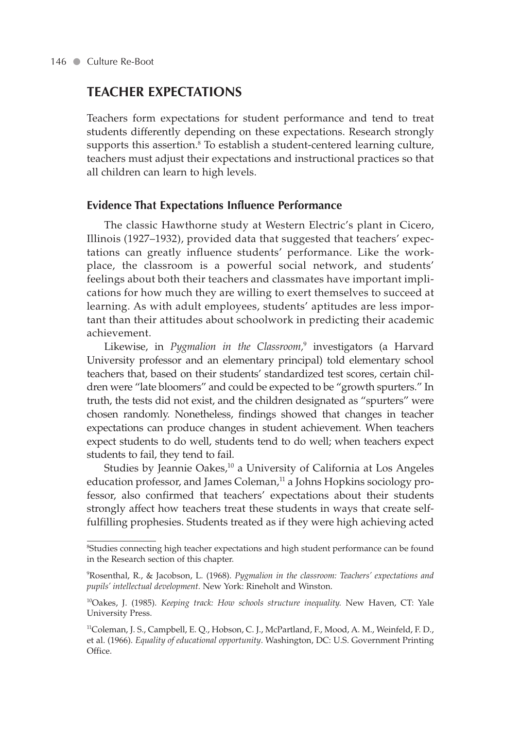## **TEACHER EXPECTATIONS**

Teachers form expectations for student performance and tend to treat students differently depending on these expectations. Research strongly supports this assertion.<sup>8</sup> To establish a student-centered learning culture, teachers must adjust their expectations and instructional practices so that all children can learn to high levels.

### **Evidence That Expectations Influence Performance**

The classic Hawthorne study at Western Electric's plant in Cicero, Illinois (1927–1932), provided data that suggested that teachers' expectations can greatly influence students' performance. Like the workplace, the classroom is a powerful social network, and students' feelings about both their teachers and classmates have important implications for how much they are willing to exert themselves to succeed at learning. As with adult employees, students' aptitudes are less important than their attitudes about schoolwork in predicting their academic achievement.

Likewise, in *Pygmalion in the Classroom,*<sup>9</sup> investigators (a Harvard University professor and an elementary principal) told elementary school teachers that, based on their students' standardized test scores, certain children were "late bloomers" and could be expected to be "growth spurters." In truth, the tests did not exist, and the children designated as "spurters" were chosen randomly. Nonetheless, findings showed that changes in teacher expectations can produce changes in student achievement. When teachers expect students to do well, students tend to do well; when teachers expect students to fail, they tend to fail.

Studies by Jeannie Oakes,<sup>10</sup> a University of California at Los Angeles education professor, and James Coleman, $<sup>11</sup>$  a Johns Hopkins sociology pro-</sup> fessor, also confirmed that teachers' expectations about their students strongly affect how teachers treat these students in ways that create selffulfilling prophesies. Students treated as if they were high achieving acted

<sup>8</sup> Studies connecting high teacher expectations and high student performance can be found in the Research section of this chapter.

<sup>9</sup> Rosenthal, R., & Jacobson, L. (1968). *Pygmalion in the classroom: Teachers' expectations and pupils' intellectual development.* New York: Rineholt and Winston.

<sup>10</sup>Oakes, J. (1985). *Keeping track: How schools structure inequality.* New Haven, CT: Yale University Press.

<sup>&</sup>lt;sup>11</sup>Coleman, J. S., Campbell, E. Q., Hobson, C. J., McPartland, F., Mood, A. M., Weinfeld, F. D., et al. (1966). *Equality of educational opportunity*. Washington, DC: U.S. Government Printing Office.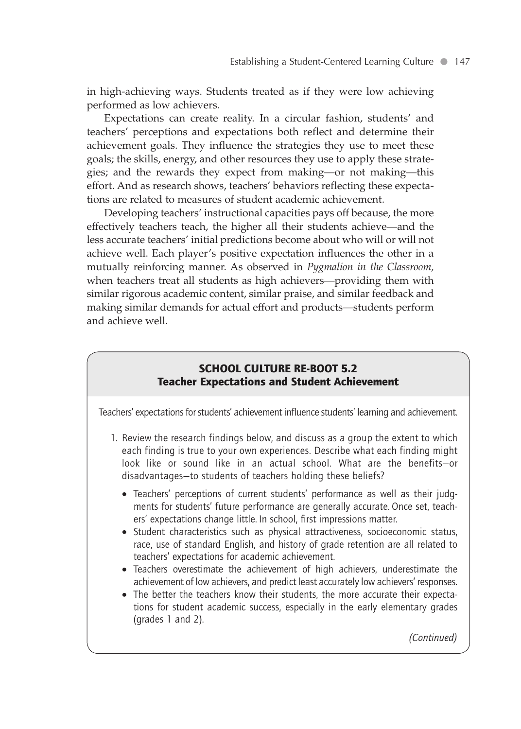in high-achieving ways. Students treated as if they were low achieving performed as low achievers.

Expectations can create reality. In a circular fashion, students' and teachers' perceptions and expectations both reflect and determine their achievement goals. They influence the strategies they use to meet these goals; the skills, energy, and other resources they use to apply these strategies; and the rewards they expect from making—or not making—this effort. And as research shows, teachers' behaviors reflecting these expectations are related to measures of student academic achievement.

Developing teachers' instructional capacities pays off because, the more effectively teachers teach, the higher all their students achieve—and the less accurate teachers' initial predictions become about who will or will not achieve well. Each player's positive expectation influences the other in a mutually reinforcing manner. As observed in *Pygmalion in the Classroom,* when teachers treat all students as high achievers—providing them with similar rigorous academic content, similar praise, and similar feedback and making similar demands for actual effort and products—students perform and achieve well.

## SCHOOL CULTURE RE-BOOT 5.2 Teacher Expectations and Student Achievement

Teachers' expectations for students' achievement influence students' learning and achievement.

- 1. Review the research findings below, and discuss as a group the extent to which each finding is true to your own experiences. Describe what each finding might look like or sound like in an actual school. What are the benefits—or disadvantages—to students of teachers holding these beliefs?
	- Teachers' perceptions of current students' performance as well as their judgments for students' future performance are generally accurate. Once set, teachers' expectations change little. In school, first impressions matter.
	- Student characteristics such as physical attractiveness, socioeconomic status, race, use of standard English, and history of grade retention are all related to teachers' expectations for academic achievement.
	- Teachers overestimate the achievement of high achievers, underestimate the achievement of low achievers, and predict least accurately low achievers' responses.
	- The better the teachers know their students, the more accurate their expectations for student academic success, especially in the early elementary grades (grades 1 and 2).

*(Continued)*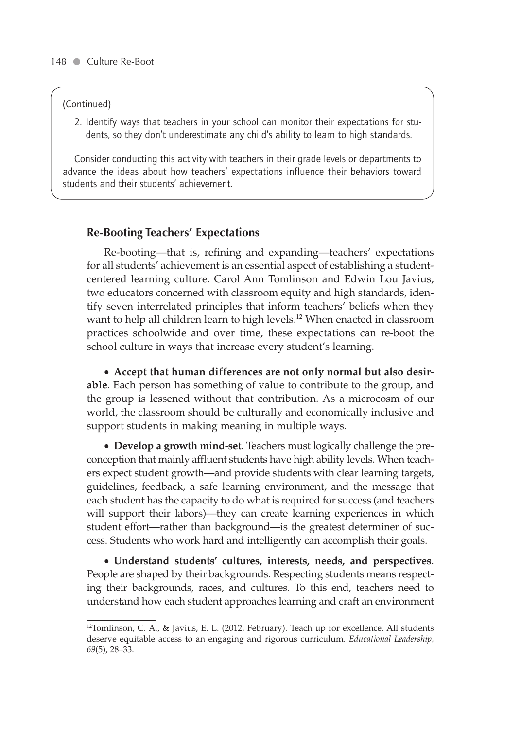# 148 Culture Re-Boot

#### (Continued)

2. Identify ways that teachers in your school can monitor their expectations for students, so they don't underestimate any child's ability to learn to high standards.

Consider conducting this activity with teachers in their grade levels or departments to advance the ideas about how teachers' expectations influence their behaviors toward students and their students' achievement.

### **Re-Booting Teachers' Expectations**

Re-booting—that is, refining and expanding—teachers' expectations for all students' achievement is an essential aspect of establishing a studentcentered learning culture. Carol Ann Tomlinson and Edwin Lou Javius, two educators concerned with classroom equity and high standards, identify seven interrelated principles that inform teachers' beliefs when they want to help all children learn to high levels.<sup>12</sup> When enacted in classroom practices schoolwide and over time, these expectations can re-boot the school culture in ways that increase every student's learning.

• **Accept that human differences are not only normal but also desirable**. Each person has something of value to contribute to the group, and the group is lessened without that contribution. As a microcosm of our world, the classroom should be culturally and economically inclusive and support students in making meaning in multiple ways.

• **Develop a growth mind**-**set**. Teachers must logically challenge the preconception that mainly affluent students have high ability levels. When teachers expect student growth—and provide students with clear learning targets, guidelines, feedback, a safe learning environment, and the message that each student has the capacity to do what is required for success (and teachers will support their labors)—they can create learning experiences in which student effort—rather than background—is the greatest determiner of success. Students who work hard and intelligently can accomplish their goals.

• **Understand students' cultures, interests, needs, and perspectives**. People are shaped by their backgrounds. Respecting students means respecting their backgrounds, races, and cultures. To this end, teachers need to understand how each student approaches learning and craft an environment

<sup>&</sup>lt;sup>12</sup>Tomlinson, C. A., & Javius, E. L. (2012, February). Teach up for excellence. All students deserve equitable access to an engaging and rigorous curriculum. *Educational Leadership, 69*(5), 28–33.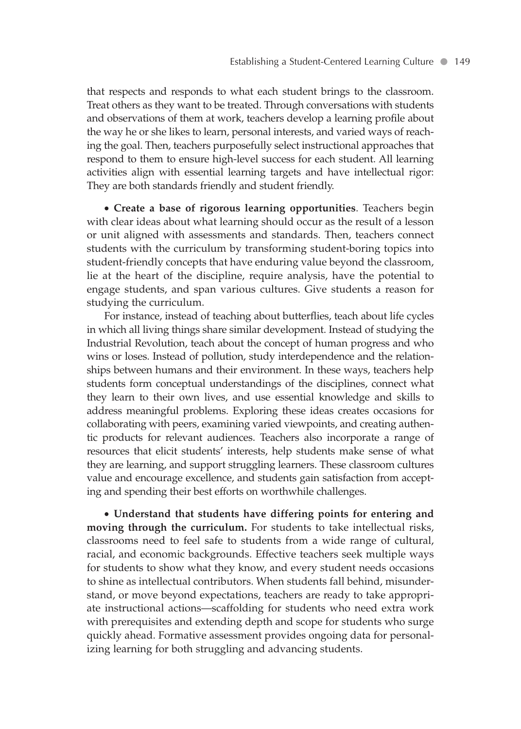that respects and responds to what each student brings to the classroom. Treat others as they want to be treated. Through conversations with students and observations of them at work, teachers develop a learning profile about the way he or she likes to learn, personal interests, and varied ways of reaching the goal. Then, teachers purposefully select instructional approaches that respond to them to ensure high-level success for each student. All learning activities align with essential learning targets and have intellectual rigor: They are both standards friendly and student friendly.

• **Create a base of rigorous learning opportunities**. Teachers begin with clear ideas about what learning should occur as the result of a lesson or unit aligned with assessments and standards. Then, teachers connect students with the curriculum by transforming student-boring topics into student-friendly concepts that have enduring value beyond the classroom, lie at the heart of the discipline, require analysis, have the potential to engage students, and span various cultures. Give students a reason for studying the curriculum.

For instance, instead of teaching about butterflies, teach about life cycles in which all living things share similar development. Instead of studying the Industrial Revolution, teach about the concept of human progress and who wins or loses. Instead of pollution, study interdependence and the relationships between humans and their environment. In these ways, teachers help students form conceptual understandings of the disciplines, connect what they learn to their own lives, and use essential knowledge and skills to address meaningful problems. Exploring these ideas creates occasions for collaborating with peers, examining varied viewpoints, and creating authentic products for relevant audiences. Teachers also incorporate a range of resources that elicit students' interests, help students make sense of what they are learning, and support struggling learners. These classroom cultures value and encourage excellence, and students gain satisfaction from accepting and spending their best efforts on worthwhile challenges.

• **Understand that students have differing points for entering and moving through the curriculum.** For students to take intellectual risks, classrooms need to feel safe to students from a wide range of cultural, racial, and economic backgrounds. Effective teachers seek multiple ways for students to show what they know, and every student needs occasions to shine as intellectual contributors. When students fall behind, misunderstand, or move beyond expectations, teachers are ready to take appropriate instructional actions—scaffolding for students who need extra work with prerequisites and extending depth and scope for students who surge quickly ahead. Formative assessment provides ongoing data for personalizing learning for both struggling and advancing students.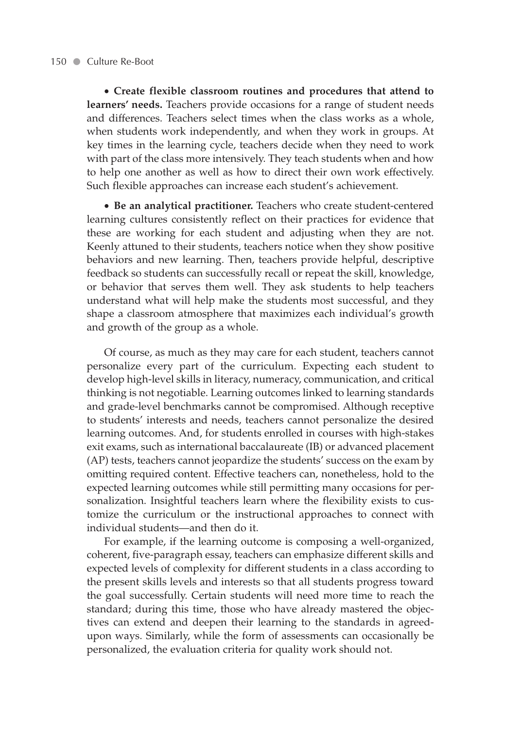• **Create flexible classroom routines and procedures that attend to learners' needs.** Teachers provide occasions for a range of student needs and differences. Teachers select times when the class works as a whole, when students work independently, and when they work in groups. At key times in the learning cycle, teachers decide when they need to work with part of the class more intensively. They teach students when and how to help one another as well as how to direct their own work effectively. Such flexible approaches can increase each student's achievement.

• **Be an analytical practitioner.** Teachers who create student-centered learning cultures consistently reflect on their practices for evidence that these are working for each student and adjusting when they are not. Keenly attuned to their students, teachers notice when they show positive behaviors and new learning. Then, teachers provide helpful, descriptive feedback so students can successfully recall or repeat the skill, knowledge, or behavior that serves them well. They ask students to help teachers understand what will help make the students most successful, and they shape a classroom atmosphere that maximizes each individual's growth and growth of the group as a whole.

Of course, as much as they may care for each student, teachers cannot personalize every part of the curriculum. Expecting each student to develop high-level skills in literacy, numeracy, communication, and critical thinking is not negotiable. Learning outcomes linked to learning standards and grade-level benchmarks cannot be compromised. Although receptive to students' interests and needs, teachers cannot personalize the desired learning outcomes. And, for students enrolled in courses with high-stakes exit exams, such as international baccalaureate (IB) or advanced placement (AP) tests, teachers cannot jeopardize the students' success on the exam by omitting required content. Effective teachers can, nonetheless, hold to the expected learning outcomes while still permitting many occasions for personalization. Insightful teachers learn where the flexibility exists to customize the curriculum or the instructional approaches to connect with individual students—and then do it.

For example, if the learning outcome is composing a well-organized, coherent, five-paragraph essay, teachers can emphasize different skills and expected levels of complexity for different students in a class according to the present skills levels and interests so that all students progress toward the goal successfully. Certain students will need more time to reach the standard; during this time, those who have already mastered the objectives can extend and deepen their learning to the standards in agreedupon ways. Similarly, while the form of assessments can occasionally be personalized, the evaluation criteria for quality work should not.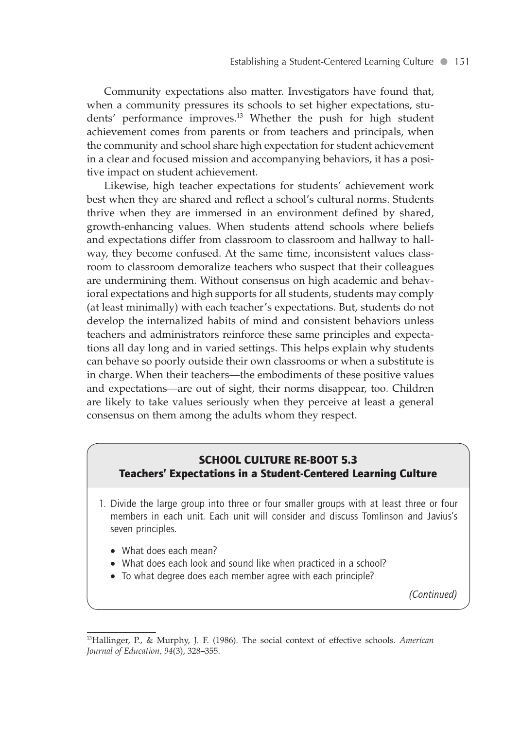Community expectations also matter. Investigators have found that, when a community pressures its schools to set higher expectations, students' performance improves.<sup>13</sup> Whether the push for high student achievement comes from parents or from teachers and principals, when the community and school share high expectation for student achievement in a clear and focused mission and accompanying behaviors, it has a positive impact on student achievement.

Likewise, high teacher expectations for students' achievement work best when they are shared and reflect a school's cultural norms. Students thrive when they are immersed in an environment defined by shared, growth-enhancing values. When students attend schools where beliefs and expectations differ from classroom to classroom and hallway to hallway, they become confused. At the same time, inconsistent values classroom to classroom demoralize teachers who suspect that their colleagues are undermining them. Without consensus on high academic and behavioral expectations and high supports for all students, students may comply (at least minimally) with each teacher's expectations. But, students do not develop the internalized habits of mind and consistent behaviors unless teachers and administrators reinforce these same principles and expectations all day long and in varied settings. This helps explain why students can behave so poorly outside their own classrooms or when a substitute is in charge. When their teachers—the embodiments of these positive values and expectations—are out of sight, their norms disappear, too. Children are likely to take values seriously when they perceive at least a general consensus on them among the adults whom they respect.

## SCHOOL CULTURE RE-BOOT 5.3 Teachers' Expectations in a Student-Centered Learning Culture

- 1. Divide the large group into three or four smaller groups with at least three or four members in each unit. Each unit will consider and discuss Tomlinson and Javius's seven principles.
	- What does each mean?
	- What does each look and sound like when practiced in a school?
	- To what degree does each member agree with each principle?

*(Continued)*

<sup>13</sup>Hallinger, P., & Murphy, J. F. (1986). The social context of effective schools. *American Journal of Education, 94*(3), 328–355.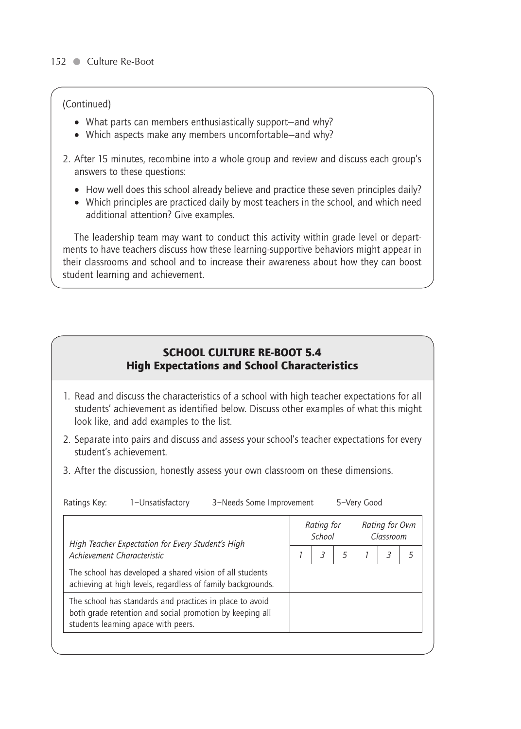# <sup>152</sup> • Culture Re-Boot

### (Continued)

- What parts can members enthusiastically support—and why?
- Which aspects make any members uncomfortable—and why?
- 2. After 15 minutes, recombine into a whole group and review and discuss each group's answers to these questions:
	- How well does this school already believe and practice these seven principles daily?
	- Which principles are practiced daily by most teachers in the school, and which need additional attention? Give examples.

The leadership team may want to conduct this activity within grade level or departments to have teachers discuss how these learning-supportive behaviors might appear in their classrooms and school and to increase their awareness about how they can boost student learning and achievement.

## SCHOOL CULTURE RE-BOOT 5.4 High Expectations and School Characteristics

- 1. Read and discuss the characteristics of a school with high teacher expectations for all students' achievement as identified below. Discuss other examples of what this might look like, and add examples to the list.
- 2. Separate into pairs and discuss and assess your school's teacher expectations for every student's achievement.
- 3. After the discussion, honestly assess your own classroom on these dimensions.

| High Teacher Expectation for Every Student's High<br>Achievement Characteristic                                                                             | Rating for<br>School |   |   | Rating for Own<br>Classroom |   |   |
|-------------------------------------------------------------------------------------------------------------------------------------------------------------|----------------------|---|---|-----------------------------|---|---|
|                                                                                                                                                             |                      | 3 | 5 |                             | 3 | 5 |
| The school has developed a shared vision of all students<br>achieving at high levels, regardless of family backgrounds.                                     |                      |   |   |                             |   |   |
| The school has standards and practices in place to avoid<br>both grade retention and social promotion by keeping all<br>students learning apace with peers. |                      |   |   |                             |   |   |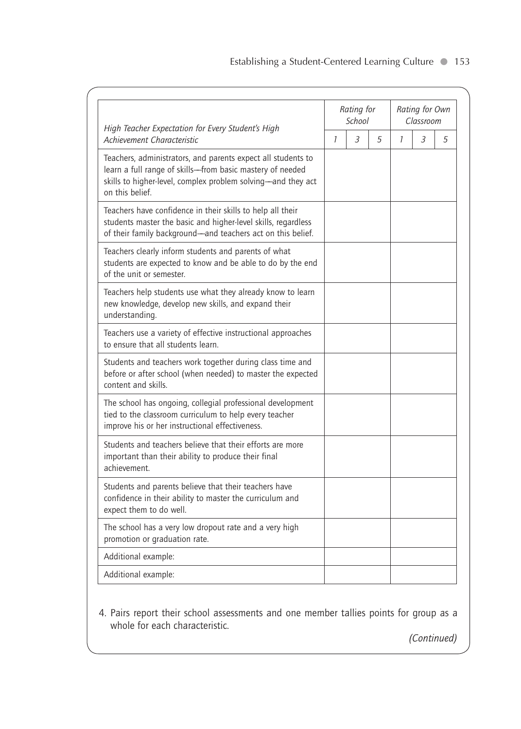| High Teacher Expectation for Every Student's High<br>Achievement Characteristic                                                                                                                              | Rating for<br>School |   |   | Rating for Own<br>Classroom |   |   |  |
|--------------------------------------------------------------------------------------------------------------------------------------------------------------------------------------------------------------|----------------------|---|---|-----------------------------|---|---|--|
|                                                                                                                                                                                                              | $\mathcal{I}$        | 3 | 5 | $\mathcal{I}$               | 3 | 5 |  |
| Teachers, administrators, and parents expect all students to<br>learn a full range of skills-from basic mastery of needed<br>skills to higher-level, complex problem solving-and they act<br>on this belief. |                      |   |   |                             |   |   |  |
| Teachers have confidence in their skills to help all their<br>students master the basic and higher-level skills, regardless<br>of their family background-and teachers act on this belief.                   |                      |   |   |                             |   |   |  |
| Teachers clearly inform students and parents of what<br>students are expected to know and be able to do by the end<br>of the unit or semester.                                                               |                      |   |   |                             |   |   |  |
| Teachers help students use what they already know to learn<br>new knowledge, develop new skills, and expand their<br>understanding.                                                                          |                      |   |   |                             |   |   |  |
| Teachers use a variety of effective instructional approaches<br>to ensure that all students learn.                                                                                                           |                      |   |   |                             |   |   |  |
| Students and teachers work together during class time and<br>before or after school (when needed) to master the expected<br>content and skills.                                                              |                      |   |   |                             |   |   |  |
| The school has ongoing, collegial professional development<br>tied to the classroom curriculum to help every teacher<br>improve his or her instructional effectiveness.                                      |                      |   |   |                             |   |   |  |
| Students and teachers believe that their efforts are more<br>important than their ability to produce their final<br>achievement.                                                                             |                      |   |   |                             |   |   |  |
| Students and parents believe that their teachers have<br>confidence in their ability to master the curriculum and<br>expect them to do well.                                                                 |                      |   |   |                             |   |   |  |
| The school has a very low dropout rate and a very high<br>promotion or graduation rate.                                                                                                                      |                      |   |   |                             |   |   |  |
| Additional example:                                                                                                                                                                                          |                      |   |   |                             |   |   |  |
| Additional example:                                                                                                                                                                                          |                      |   |   |                             |   |   |  |

4. Pairs report their school assessments and one member tallies points for group as a whole for each characteristic.

*(Continued)*